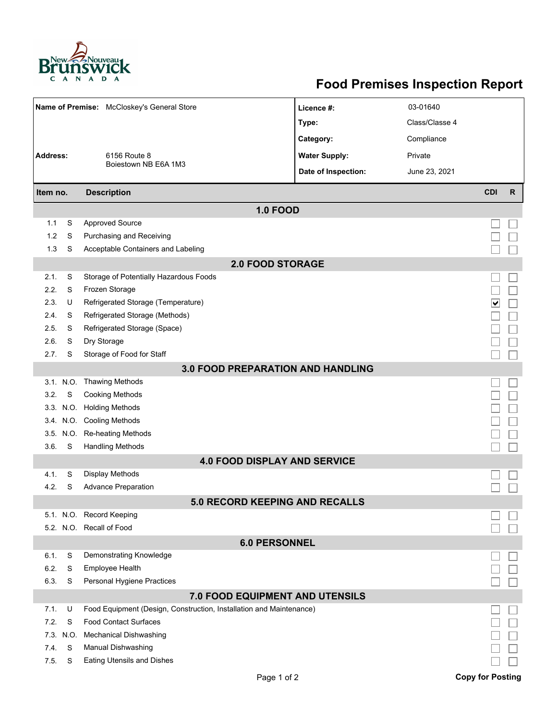

## **Food Premises Inspection Report**

| Name of Premise: McCloskey's General Store                        |           |                                                                     | Licence #:           | 03-01640       |                         |              |  |  |  |  |
|-------------------------------------------------------------------|-----------|---------------------------------------------------------------------|----------------------|----------------|-------------------------|--------------|--|--|--|--|
|                                                                   |           |                                                                     | Type:                | Class/Classe 4 |                         |              |  |  |  |  |
|                                                                   |           |                                                                     | Category:            | Compliance     |                         |              |  |  |  |  |
| Address:                                                          |           | 6156 Route 8                                                        | <b>Water Supply:</b> | Private        |                         |              |  |  |  |  |
|                                                                   |           | Boiestown NB E6A 1M3                                                | Date of Inspection:  | June 23, 2021  |                         |              |  |  |  |  |
|                                                                   |           | <b>Description</b>                                                  |                      |                | <b>CDI</b>              | $\mathsf{R}$ |  |  |  |  |
| Item no.                                                          |           |                                                                     |                      |                |                         |              |  |  |  |  |
| 1.1                                                               | S         | <b>1.0 FOOD</b><br><b>Approved Source</b>                           |                      |                |                         |              |  |  |  |  |
| 1.2                                                               | S         | Purchasing and Receiving                                            |                      |                |                         |              |  |  |  |  |
| 1.3                                                               | S         |                                                                     |                      |                |                         |              |  |  |  |  |
|                                                                   |           | Acceptable Containers and Labeling<br><b>2.0 FOOD STORAGE</b>       |                      |                |                         |              |  |  |  |  |
| 2.1.                                                              | S         | Storage of Potentially Hazardous Foods                              |                      |                |                         |              |  |  |  |  |
| 2.2.                                                              | S         | Frozen Storage                                                      |                      |                |                         |              |  |  |  |  |
| 2.3.                                                              | U         | Refrigerated Storage (Temperature)                                  |                      |                |                         |              |  |  |  |  |
| 2.4.                                                              | S         | Refrigerated Storage (Methods)                                      |                      |                | ∣∨                      |              |  |  |  |  |
| 2.5.                                                              | S         | Refrigerated Storage (Space)                                        |                      |                |                         |              |  |  |  |  |
| 2.6.                                                              | S         | Dry Storage                                                         |                      |                |                         |              |  |  |  |  |
| 2.7.                                                              | S         | Storage of Food for Staff                                           |                      |                |                         |              |  |  |  |  |
|                                                                   |           |                                                                     |                      |                |                         |              |  |  |  |  |
| 3.0 FOOD PREPARATION AND HANDLING<br>Thawing Methods<br>3.1. N.O. |           |                                                                     |                      |                |                         |              |  |  |  |  |
| 3.2.                                                              | S         | <b>Cooking Methods</b>                                              |                      |                |                         |              |  |  |  |  |
|                                                                   |           | 3.3. N.O. Holding Methods                                           |                      |                |                         |              |  |  |  |  |
|                                                                   |           | 3.4. N.O. Cooling Methods                                           |                      |                |                         |              |  |  |  |  |
|                                                                   | 3.5. N.O. | Re-heating Methods                                                  |                      |                |                         |              |  |  |  |  |
| 3.6.                                                              | S         | <b>Handling Methods</b>                                             |                      |                |                         |              |  |  |  |  |
|                                                                   |           | <b>4.0 FOOD DISPLAY AND SERVICE</b>                                 |                      |                |                         |              |  |  |  |  |
| 4.1.                                                              | S         | <b>Display Methods</b>                                              |                      |                |                         |              |  |  |  |  |
| 4.2.                                                              | S         | <b>Advance Preparation</b>                                          |                      |                |                         |              |  |  |  |  |
| 5.0 RECORD KEEPING AND RECALLS                                    |           |                                                                     |                      |                |                         |              |  |  |  |  |
|                                                                   |           | 5.1. N.O. Record Keeping                                            |                      |                |                         |              |  |  |  |  |
|                                                                   |           | 5.2. N.O. Recall of Food                                            |                      |                |                         |              |  |  |  |  |
| <b>6.0 PERSONNEL</b>                                              |           |                                                                     |                      |                |                         |              |  |  |  |  |
| 6.1.                                                              | S         | Demonstrating Knowledge                                             |                      |                |                         |              |  |  |  |  |
| 6.2.                                                              | S         | Employee Health                                                     |                      |                |                         |              |  |  |  |  |
| 6.3.                                                              | S         | Personal Hygiene Practices                                          |                      |                |                         |              |  |  |  |  |
| <b>7.0 FOOD EQUIPMENT AND UTENSILS</b>                            |           |                                                                     |                      |                |                         |              |  |  |  |  |
| 7.1.                                                              | U         | Food Equipment (Design, Construction, Installation and Maintenance) |                      |                |                         |              |  |  |  |  |
| 7.2.                                                              | S         | <b>Food Contact Surfaces</b>                                        |                      |                |                         |              |  |  |  |  |
| 7.3.                                                              | N.O.      | <b>Mechanical Dishwashing</b>                                       |                      |                |                         |              |  |  |  |  |
| 7.4.                                                              | S         | Manual Dishwashing                                                  |                      |                |                         |              |  |  |  |  |
| 7.5.                                                              | S         | <b>Eating Utensils and Dishes</b>                                   |                      |                |                         |              |  |  |  |  |
|                                                                   |           | Page 1 of 2                                                         |                      |                | <b>Copy for Posting</b> |              |  |  |  |  |